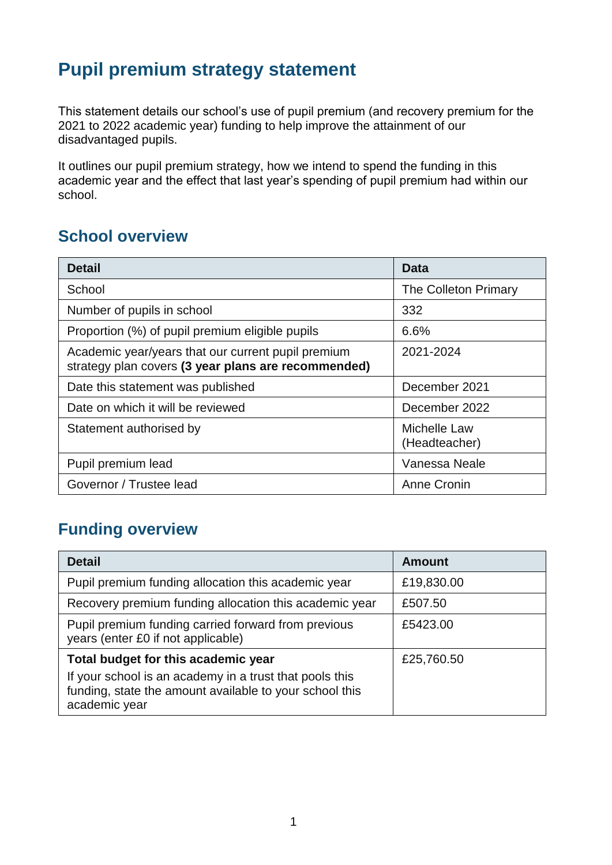# **Pupil premium strategy statement**

This statement details our school's use of pupil premium (and recovery premium for the 2021 to 2022 academic year) funding to help improve the attainment of our disadvantaged pupils.

It outlines our pupil premium strategy, how we intend to spend the funding in this academic year and the effect that last year's spending of pupil premium had within our school.

#### **School overview**

| <b>Detail</b>                                                                                             | Data                          |
|-----------------------------------------------------------------------------------------------------------|-------------------------------|
| School                                                                                                    | The Colleton Primary          |
| Number of pupils in school                                                                                | 332                           |
| Proportion (%) of pupil premium eligible pupils                                                           | 6.6%                          |
| Academic year/years that our current pupil premium<br>strategy plan covers (3 year plans are recommended) | 2021-2024                     |
| Date this statement was published                                                                         | December 2021                 |
| Date on which it will be reviewed                                                                         | December 2022                 |
| Statement authorised by                                                                                   | Michelle Law<br>(Headteacher) |
| Pupil premium lead                                                                                        | Vanessa Neale                 |
| Governor / Trustee lead                                                                                   | Anne Cronin                   |

## **Funding overview**

| <b>Detail</b>                                                                                                                       | <b>Amount</b> |
|-------------------------------------------------------------------------------------------------------------------------------------|---------------|
| Pupil premium funding allocation this academic year                                                                                 | £19,830.00    |
| Recovery premium funding allocation this academic year                                                                              | £507.50       |
| Pupil premium funding carried forward from previous<br>years (enter £0 if not applicable)                                           | £5423.00      |
| Total budget for this academic year                                                                                                 | £25,760.50    |
| If your school is an academy in a trust that pools this<br>funding, state the amount available to your school this<br>academic year |               |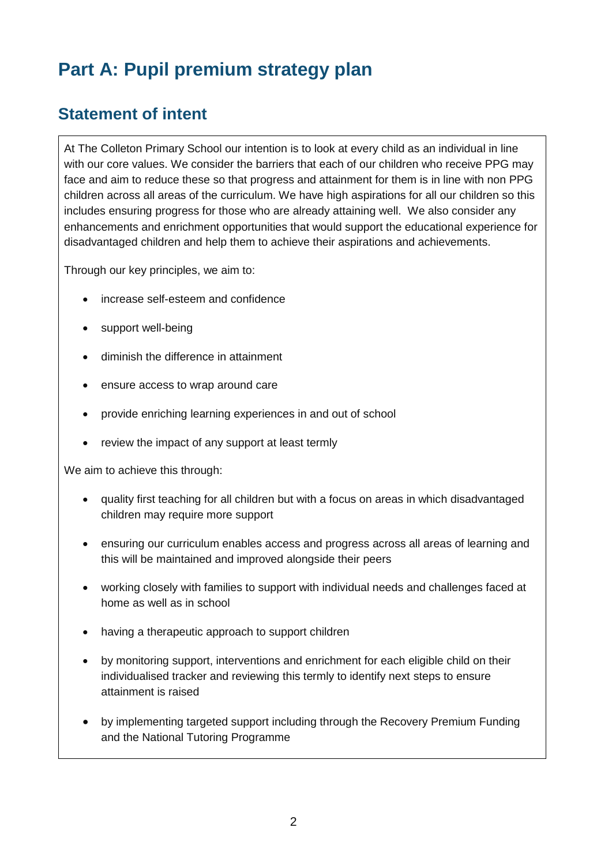# **Part A: Pupil premium strategy plan**

### **Statement of intent**

At The Colleton Primary School our intention is to look at every child as an individual in line with our core values. We consider the barriers that each of our children who receive PPG may face and aim to reduce these so that progress and attainment for them is in line with non PPG children across all areas of the curriculum. We have high aspirations for all our children so this includes ensuring progress for those who are already attaining well. We also consider any enhancements and enrichment opportunities that would support the educational experience for disadvantaged children and help them to achieve their aspirations and achievements.

Through our key principles, we aim to:

- increase self-esteem and confidence
- support well-being
- diminish the difference in attainment
- ensure access to wrap around care
- provide enriching learning experiences in and out of school
- review the impact of any support at least termly

We aim to achieve this through:

- quality first teaching for all children but with a focus on areas in which disadvantaged children may require more support
- ensuring our curriculum enables access and progress across all areas of learning and this will be maintained and improved alongside their peers
- working closely with families to support with individual needs and challenges faced at home as well as in school
- having a therapeutic approach to support children
- by monitoring support, interventions and enrichment for each eligible child on their individualised tracker and reviewing this termly to identify next steps to ensure attainment is raised
- by implementing targeted support including through the Recovery Premium Funding and the National Tutoring Programme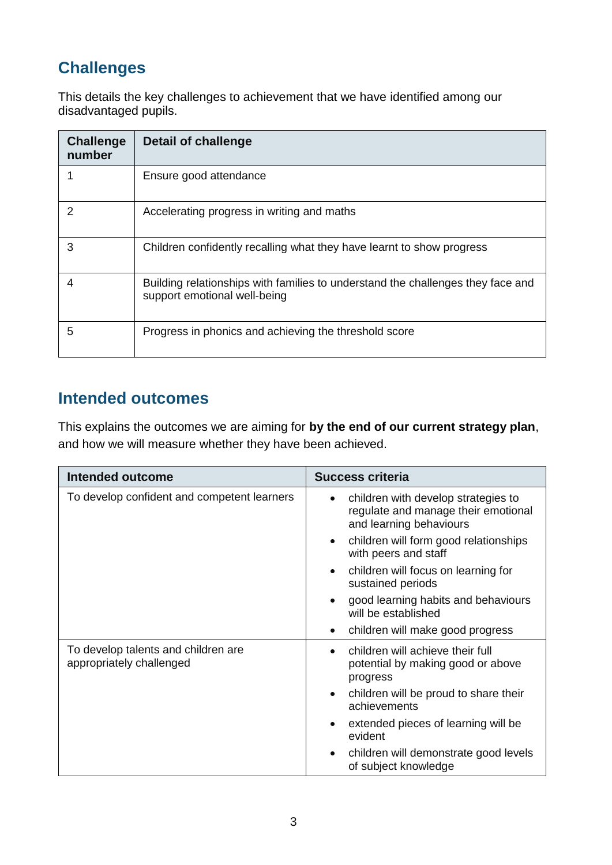# **Challenges**

This details the key challenges to achievement that we have identified among our disadvantaged pupils.

| <b>Challenge</b><br>number | <b>Detail of challenge</b>                                                                                      |
|----------------------------|-----------------------------------------------------------------------------------------------------------------|
|                            | Ensure good attendance                                                                                          |
|                            | Accelerating progress in writing and maths                                                                      |
| 3                          | Children confidently recalling what they have learnt to show progress                                           |
| 4                          | Building relationships with families to understand the challenges they face and<br>support emotional well-being |
| 5                          | Progress in phonics and achieving the threshold score                                                           |

# **Intended outcomes**

This explains the outcomes we are aiming for **by the end of our current strategy plan**, and how we will measure whether they have been achieved.

| <b>Intended outcome</b>                                         | <b>Success criteria</b>                                                                                            |
|-----------------------------------------------------------------|--------------------------------------------------------------------------------------------------------------------|
| To develop confident and competent learners                     | children with develop strategies to<br>$\bullet$<br>regulate and manage their emotional<br>and learning behaviours |
|                                                                 | children will form good relationships<br>with peers and staff                                                      |
|                                                                 | children will focus on learning for<br>$\bullet$<br>sustained periods                                              |
|                                                                 | good learning habits and behaviours<br>will be established                                                         |
|                                                                 | children will make good progress                                                                                   |
| To develop talents and children are<br>appropriately challenged | children will achieve their full<br>$\bullet$<br>potential by making good or above<br>progress                     |
|                                                                 | children will be proud to share their<br>$\bullet$<br>achievements                                                 |
|                                                                 | extended pieces of learning will be<br>evident                                                                     |
|                                                                 | children will demonstrate good levels<br>of subject knowledge                                                      |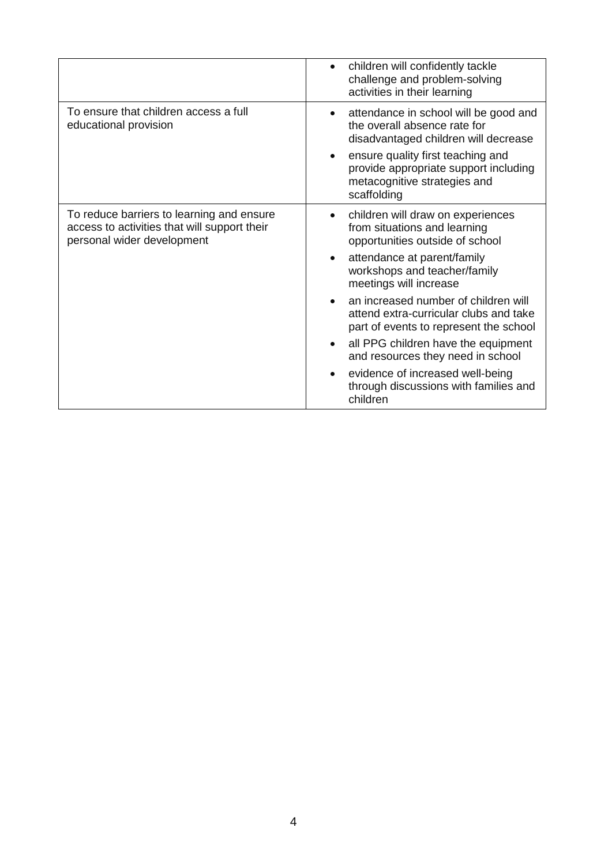|                                                                                                                         | children will confidently tackle<br>challenge and problem-solving<br>activities in their learning                         |
|-------------------------------------------------------------------------------------------------------------------------|---------------------------------------------------------------------------------------------------------------------------|
| To ensure that children access a full<br>educational provision                                                          | attendance in school will be good and<br>the overall absence rate for<br>disadvantaged children will decrease             |
|                                                                                                                         | ensure quality first teaching and<br>provide appropriate support including<br>metacognitive strategies and<br>scaffolding |
| To reduce barriers to learning and ensure<br>access to activities that will support their<br>personal wider development | children will draw on experiences<br>from situations and learning<br>opportunities outside of school                      |
|                                                                                                                         | attendance at parent/family<br>workshops and teacher/family<br>meetings will increase                                     |
|                                                                                                                         | an increased number of children will<br>attend extra-curricular clubs and take<br>part of events to represent the school  |
|                                                                                                                         | all PPG children have the equipment<br>and resources they need in school                                                  |
|                                                                                                                         | evidence of increased well-being<br>through discussions with families and<br>children                                     |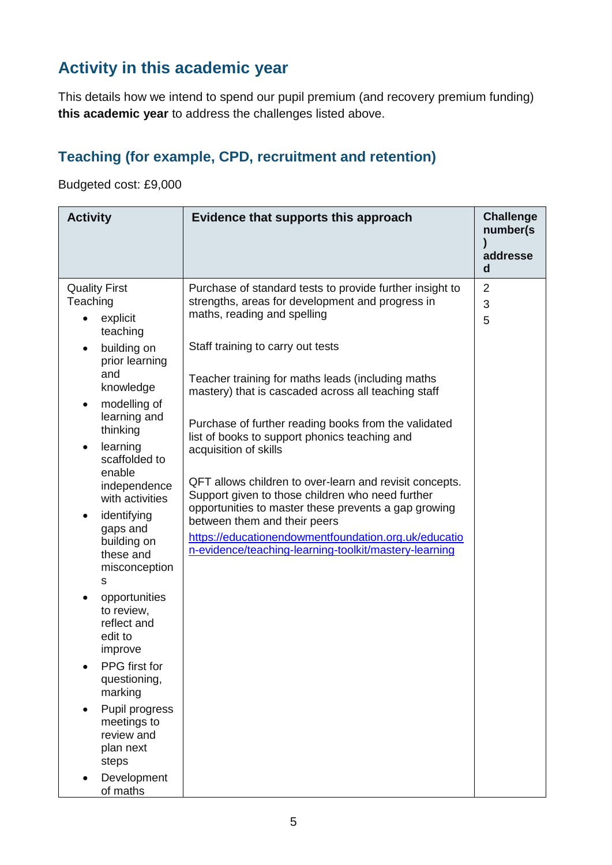# **Activity in this academic year**

This details how we intend to spend our pupil premium (and recovery premium funding) **this academic year** to address the challenges listed above.

#### **Teaching (for example, CPD, recruitment and retention)**

Budgeted cost: £9,000

| <b>Activity</b>                                                                                                                                                                                                                                                                                                                                                                                                                                                                                                                                                                      | Evidence that supports this approach                                                                                                                                                                                                                                                                                                                                                                                                                                                                                                                                                                                                                                                                                                                   | <b>Challenge</b><br>number(s)<br>addresse<br>$\mathbf d$ |
|--------------------------------------------------------------------------------------------------------------------------------------------------------------------------------------------------------------------------------------------------------------------------------------------------------------------------------------------------------------------------------------------------------------------------------------------------------------------------------------------------------------------------------------------------------------------------------------|--------------------------------------------------------------------------------------------------------------------------------------------------------------------------------------------------------------------------------------------------------------------------------------------------------------------------------------------------------------------------------------------------------------------------------------------------------------------------------------------------------------------------------------------------------------------------------------------------------------------------------------------------------------------------------------------------------------------------------------------------------|----------------------------------------------------------|
| <b>Quality First</b><br>Teaching<br>explicit<br>teaching<br>building on<br>$\bullet$<br>prior learning<br>and<br>knowledge<br>modelling of<br>$\bullet$<br>learning and<br>thinking<br>learning<br>$\bullet$<br>scaffolded to<br>enable<br>independence<br>with activities<br>identifying<br>gaps and<br>building on<br>these and<br>misconception<br>S<br>opportunities<br>$\bullet$<br>to review,<br>reflect and<br>edit to<br>improve<br>PPG first for<br>questioning,<br>marking<br>Pupil progress<br>meetings to<br>review and<br>plan next<br>steps<br>Development<br>of maths | Purchase of standard tests to provide further insight to<br>strengths, areas for development and progress in<br>maths, reading and spelling<br>Staff training to carry out tests<br>Teacher training for maths leads (including maths<br>mastery) that is cascaded across all teaching staff<br>Purchase of further reading books from the validated<br>list of books to support phonics teaching and<br>acquisition of skills<br>QFT allows children to over-learn and revisit concepts.<br>Support given to those children who need further<br>opportunities to master these prevents a gap growing<br>between them and their peers<br>https://educationendowmentfoundation.org.uk/educatio<br>n-evidence/teaching-learning-toolkit/mastery-learning | 2<br>3<br>5                                              |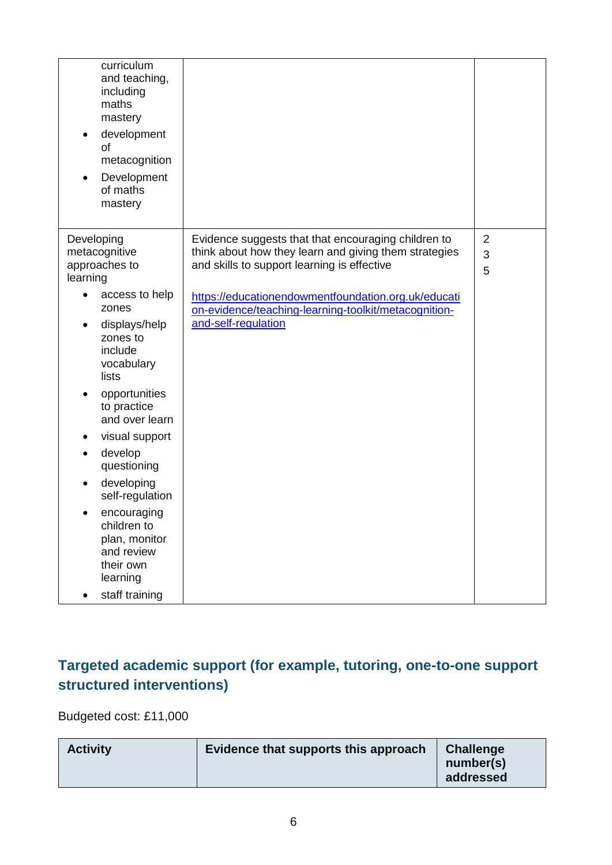| curriculum<br>and teaching,<br>including<br>maths<br>mastery<br>development<br>$\bullet$<br>of<br>metacognition<br>Development<br>of maths<br>mastery                                                                                                                                                                                                                                                                    |                                                                                                                                                                                                                                                                                                   |                          |
|--------------------------------------------------------------------------------------------------------------------------------------------------------------------------------------------------------------------------------------------------------------------------------------------------------------------------------------------------------------------------------------------------------------------------|---------------------------------------------------------------------------------------------------------------------------------------------------------------------------------------------------------------------------------------------------------------------------------------------------|--------------------------|
| Developing<br>metacognitive<br>approaches to<br>learning<br>access to help<br>zones<br>displays/help<br>zones to<br>include<br>vocabulary<br>lists<br>opportunities<br>to practice<br>and over learn<br>visual support<br>$\bullet$<br>develop<br>$\bullet$<br>questioning<br>developing<br>self-regulation<br>encouraging<br>children to<br>plan, monitor<br>and review<br>their own<br>learning<br>staff training<br>٠ | Evidence suggests that that encouraging children to<br>think about how they learn and giving them strategies<br>and skills to support learning is effective<br>https://educationendowmentfoundation.org.uk/educati<br>on-evidence/teaching-learning-toolkit/metacognition-<br>and-self-regulation | $\overline{2}$<br>3<br>5 |

### **Targeted academic support (for example, tutoring, one-to-one support structured interventions)**

Budgeted cost: £11,000

| <b>Activity</b> | Evidence that supports this approach | <b>Challenge</b><br>number(s)<br>addressed |
|-----------------|--------------------------------------|--------------------------------------------|
|-----------------|--------------------------------------|--------------------------------------------|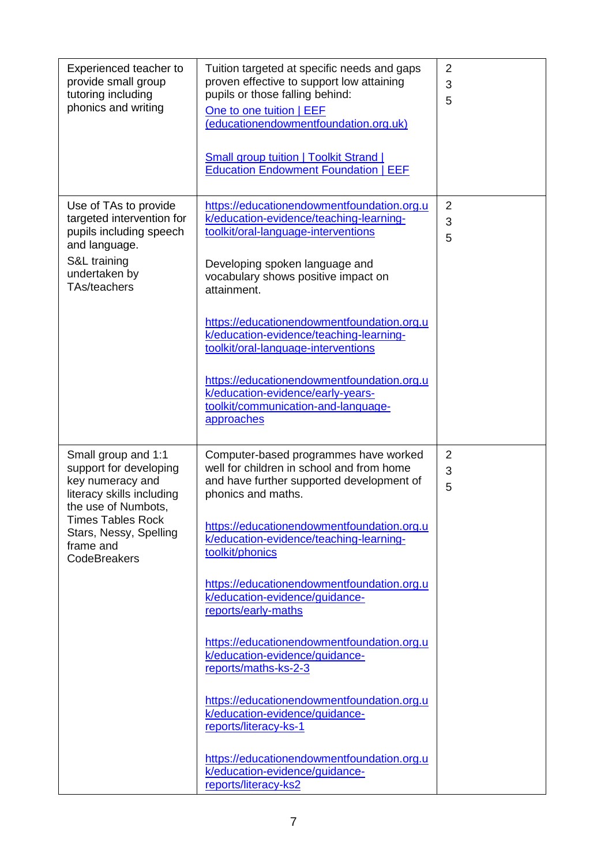| Experienced teacher to<br>provide small group<br>tutoring including<br>phonics and writing                                                                                                        | Tuition targeted at specific needs and gaps<br>proven effective to support low attaining<br>pupils or those falling behind:<br>One to one tuition   EEF<br>(educationendowmentfoundation.org.uk)<br><b>Small group tuition   Toolkit Strand  </b><br><b>Education Endowment Foundation   EEF</b>                                                                                                                                                                                                                                                                                                                                                                                                  | $\overline{2}$<br>3<br>5 |
|---------------------------------------------------------------------------------------------------------------------------------------------------------------------------------------------------|---------------------------------------------------------------------------------------------------------------------------------------------------------------------------------------------------------------------------------------------------------------------------------------------------------------------------------------------------------------------------------------------------------------------------------------------------------------------------------------------------------------------------------------------------------------------------------------------------------------------------------------------------------------------------------------------------|--------------------------|
| Use of TAs to provide<br>targeted intervention for<br>pupils including speech<br>and language.<br>S&L training<br>undertaken by<br>TAs/teachers                                                   | https://educationendowmentfoundation.org.u<br>k/education-evidence/teaching-learning-<br>toolkit/oral-language-interventions<br>Developing spoken language and<br>vocabulary shows positive impact on<br>attainment.<br>https://educationendowmentfoundation.org.u<br>k/education-evidence/teaching-learning-<br>toolkit/oral-language-interventions<br>https://educationendowmentfoundation.org.u<br>k/education-evidence/early-years-<br>toolkit/communication-and-language-<br>approaches                                                                                                                                                                                                      | $\overline{2}$<br>3<br>5 |
| Small group and 1:1<br>support for developing<br>key numeracy and<br>literacy skills including<br>the use of Numbots,<br>Times Tables Rock<br>Stars, Nessy, Spelling<br>frame and<br>CodeBreakers | Computer-based programmes have worked<br>well for children in school and from home<br>and have further supported development of<br>phonics and maths.<br>https://educationendowmentfoundation.org.u<br>k/education-evidence/teaching-learning-<br>toolkit/phonics<br>https://educationendowmentfoundation.org.u<br>k/education-evidence/guidance-<br>reports/early-maths<br>https://educationendowmentfoundation.org.u<br>k/education-evidence/guidance-<br>reports/maths-ks-2-3<br>https://educationendowmentfoundation.org.u<br>k/education-evidence/guidance-<br>reports/literacy-ks-1<br>https://educationendowmentfoundation.org.u<br>k/education-evidence/guidance-<br>reports/literacy-ks2 | 2<br>3<br>5              |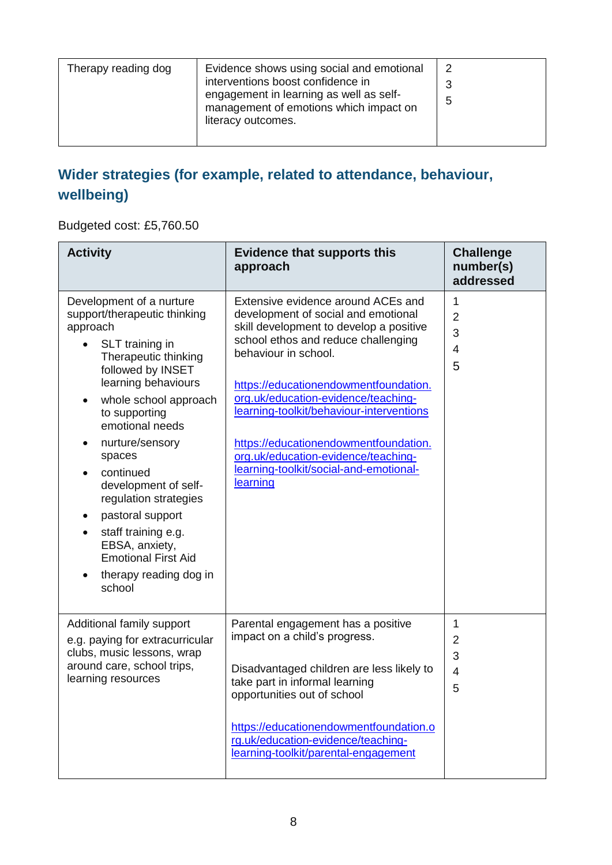| Evidence shows using social and emotional<br>Therapy reading dog<br>interventions boost confidence in<br>engagement in learning as well as self-<br>management of emotions which impact on<br>literacy outcomes. | 2<br>5 |
|------------------------------------------------------------------------------------------------------------------------------------------------------------------------------------------------------------------|--------|
|------------------------------------------------------------------------------------------------------------------------------------------------------------------------------------------------------------------|--------|

### **Wider strategies (for example, related to attendance, behaviour, wellbeing)**

Budgeted cost: £5,760.50

| <b>Activity</b>                                                                                                                                                                                                                                                                                                                                                                                                                                                 | <b>Evidence that supports this</b><br>approach                                                                                                                                                                                                                                                                                                                                                                                                               | <b>Challenge</b><br>number(s)<br>addressed      |
|-----------------------------------------------------------------------------------------------------------------------------------------------------------------------------------------------------------------------------------------------------------------------------------------------------------------------------------------------------------------------------------------------------------------------------------------------------------------|--------------------------------------------------------------------------------------------------------------------------------------------------------------------------------------------------------------------------------------------------------------------------------------------------------------------------------------------------------------------------------------------------------------------------------------------------------------|-------------------------------------------------|
| Development of a nurture<br>support/therapeutic thinking<br>approach<br>SLT training in<br>Therapeutic thinking<br>followed by INSET<br>learning behaviours<br>whole school approach<br>to supporting<br>emotional needs<br>nurture/sensory<br>spaces<br>continued<br>development of self-<br>regulation strategies<br>pastoral support<br>$\bullet$<br>staff training e.g.<br>EBSA, anxiety,<br><b>Emotional First Aid</b><br>therapy reading dog in<br>school | Extensive evidence around ACEs and<br>development of social and emotional<br>skill development to develop a positive<br>school ethos and reduce challenging<br>behaviour in school.<br>https://educationendowmentfoundation.<br>org.uk/education-evidence/teaching-<br>learning-toolkit/behaviour-interventions<br>https://educationendowmentfoundation.<br>org.uk/education-evidence/teaching-<br>learning-toolkit/social-and-emotional-<br><b>learning</b> | 1<br>$\overline{2}$<br>3<br>$\overline{4}$<br>5 |
| Additional family support<br>e.g. paying for extracurricular<br>clubs, music lessons, wrap<br>around care, school trips,<br>learning resources                                                                                                                                                                                                                                                                                                                  | Parental engagement has a positive<br>impact on a child's progress.<br>Disadvantaged children are less likely to<br>take part in informal learning<br>opportunities out of school<br>https://educationendowmentfoundation.o<br>rg.uk/education-evidence/teaching-<br>learning-toolkit/parental-engagement                                                                                                                                                    | 1<br>$\overline{2}$<br>3<br>4<br>5              |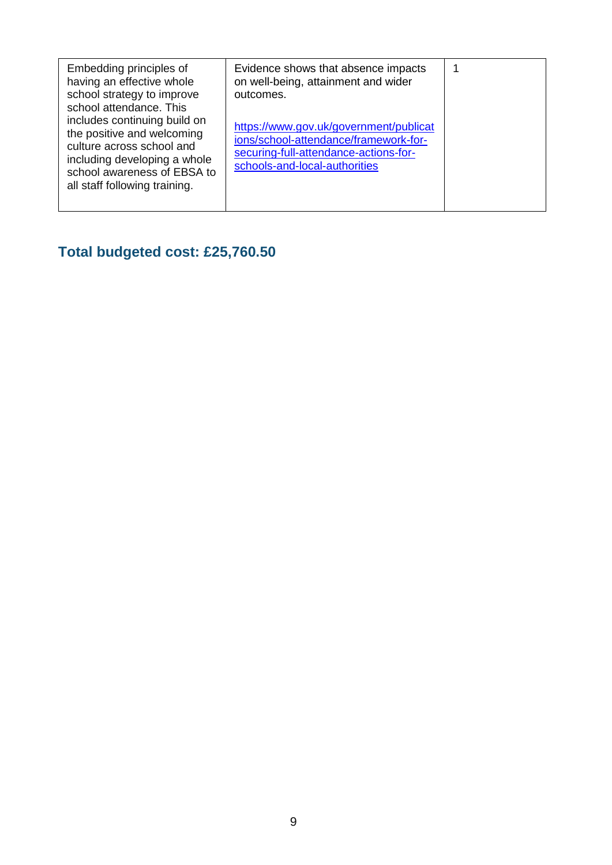| Embedding principles of<br>having an effective whole<br>school strategy to improve<br>school attendance. This<br>includes continuing build on<br>the positive and welcoming<br>culture across school and<br>including developing a whole<br>school awareness of EBSA to<br>all staff following training. | Evidence shows that absence impacts<br>on well-being, attainment and wider<br>outcomes.<br>https://www.gov.uk/government/publicat<br>ions/school-attendance/framework-for-<br>securing-full-attendance-actions-for-<br>schools-and-local-authorities |  |
|----------------------------------------------------------------------------------------------------------------------------------------------------------------------------------------------------------------------------------------------------------------------------------------------------------|------------------------------------------------------------------------------------------------------------------------------------------------------------------------------------------------------------------------------------------------------|--|

# **Total budgeted cost: £25,760.50**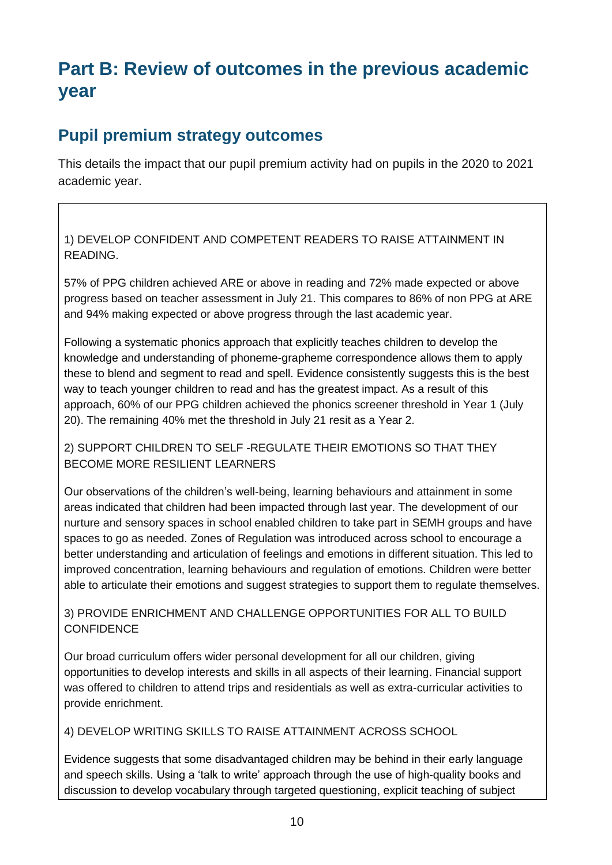# **Part B: Review of outcomes in the previous academic year**

### **Pupil premium strategy outcomes**

This details the impact that our pupil premium activity had on pupils in the 2020 to 2021 academic year.

1) DEVELOP CONFIDENT AND COMPETENT READERS TO RAISE ATTAINMENT IN READING.

57% of PPG children achieved ARE or above in reading and 72% made expected or above progress based on teacher assessment in July 21. This compares to 86% of non PPG at ARE and 94% making expected or above progress through the last academic year.

Following a systematic phonics approach that explicitly teaches children to develop the knowledge and understanding of phoneme-grapheme correspondence allows them to apply these to blend and segment to read and spell. Evidence consistently suggests this is the best way to teach younger children to read and has the greatest impact. As a result of this approach, 60% of our PPG children achieved the phonics screener threshold in Year 1 (July 20). The remaining 40% met the threshold in July 21 resit as a Year 2.

2) SUPPORT CHILDREN TO SELF -REGULATE THEIR EMOTIONS SO THAT THEY BECOME MORE RESILIENT LEARNERS

Our observations of the children's well-being, learning behaviours and attainment in some areas indicated that children had been impacted through last year. The development of our nurture and sensory spaces in school enabled children to take part in SEMH groups and have spaces to go as needed. Zones of Regulation was introduced across school to encourage a better understanding and articulation of feelings and emotions in different situation. This led to improved concentration, learning behaviours and regulation of emotions. Children were better able to articulate their emotions and suggest strategies to support them to regulate themselves.

3) PROVIDE ENRICHMENT AND CHALLENGE OPPORTUNITIES FOR ALL TO BUILD **CONFIDENCE** 

Our broad curriculum offers wider personal development for all our children, giving opportunities to develop interests and skills in all aspects of their learning. Financial support was offered to children to attend trips and residentials as well as extra-curricular activities to provide enrichment.

4) DEVELOP WRITING SKILLS TO RAISE ATTAINMENT ACROSS SCHOOL

Evidence suggests that some disadvantaged children may be behind in their early language and speech skills. Using a 'talk to write' approach through the use of high-quality books and discussion to develop vocabulary through targeted questioning, explicit teaching of subject